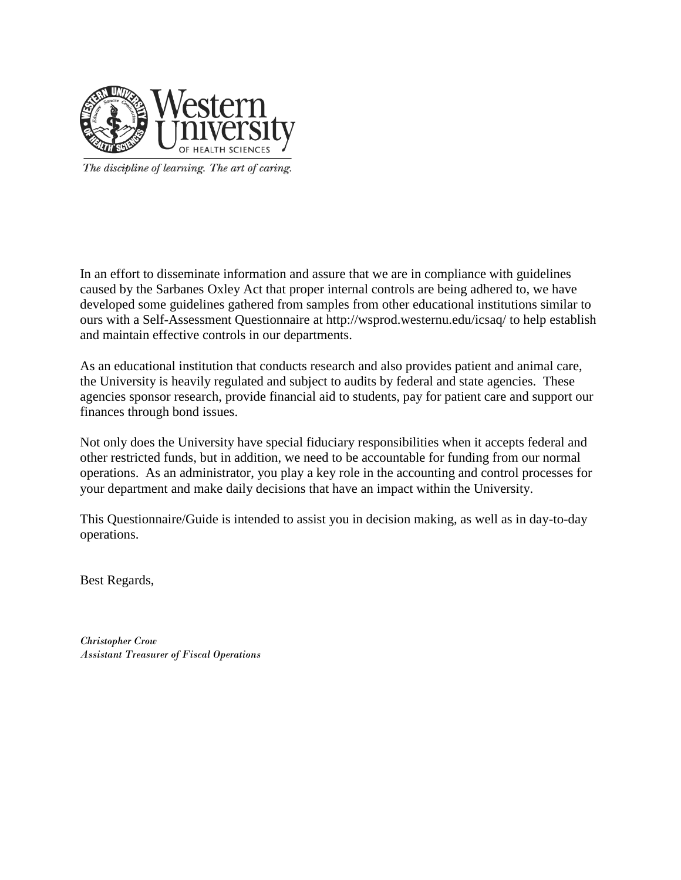

The discipline of learning. The art of caring.

In an effort to disseminate information and assure that we are in compliance with guidelines caused by the Sarbanes Oxley Act that proper internal controls are being adhered to, we have developed some guidelines gathered from samples from other educational institutions similar to ours with a Self-Assessment Questionnaire at http://wsprod.westernu.edu/icsaq/ to help establish and maintain effective controls in our departments.

As an educational institution that conducts research and also provides patient and animal care, the University is heavily regulated and subject to audits by federal and state agencies. These agencies sponsor research, provide financial aid to students, pay for patient care and support our finances through bond issues.

Not only does the University have special fiduciary responsibilities when it accepts federal and other restricted funds, but in addition, we need to be accountable for funding from our normal operations. As an administrator, you play a key role in the accounting and control processes for your department and make daily decisions that have an impact within the University.

This Questionnaire/Guide is intended to assist you in decision making, as well as in day-to-day operations.

Best Regards,

*Christopher Crow Assistant Treasurer of Fiscal Operations*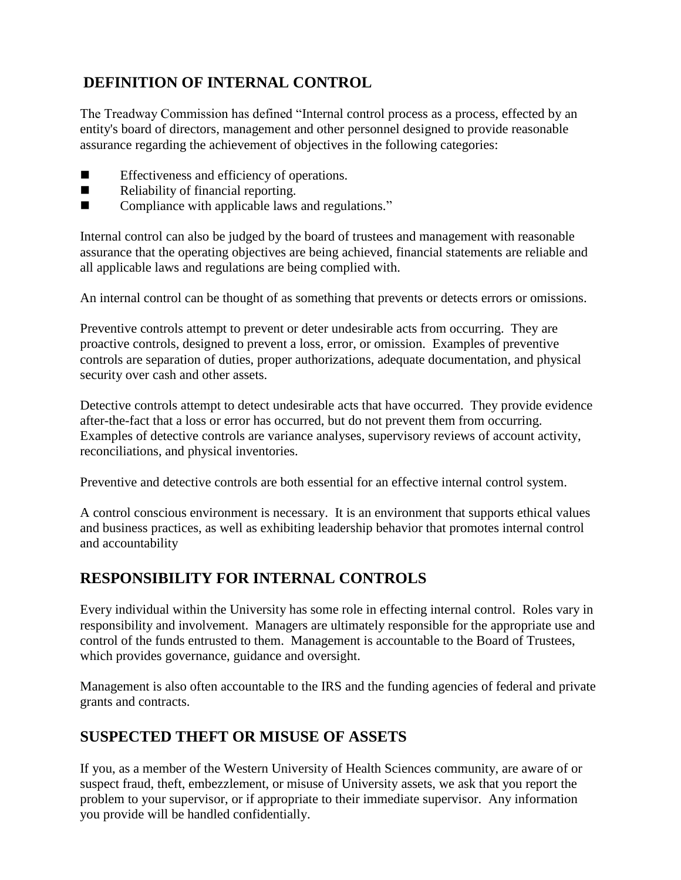## **DEFINITION OF INTERNAL CONTROL**

The Treadway Commission has defined "Internal control process as a process, effected by an entity's board of directors, management and other personnel designed to provide reasonable assurance regarding the achievement of objectives in the following categories:

- Effectiveness and efficiency of operations.
- Reliability of financial reporting.
- Compliance with applicable laws and regulations."

Internal control can also be judged by the board of trustees and management with reasonable assurance that the operating objectives are being achieved, financial statements are reliable and all applicable laws and regulations are being complied with.

An internal control can be thought of as something that prevents or detects errors or omissions.

Preventive controls attempt to prevent or deter undesirable acts from occurring. They are proactive controls, designed to prevent a loss, error, or omission. Examples of preventive controls are separation of duties, proper authorizations, adequate documentation, and physical security over cash and other assets.

Detective controls attempt to detect undesirable acts that have occurred. They provide evidence after-the-fact that a loss or error has occurred, but do not prevent them from occurring. Examples of detective controls are variance analyses, supervisory reviews of account activity, reconciliations, and physical inventories.

Preventive and detective controls are both essential for an effective internal control system.

A control conscious environment is necessary. It is an environment that supports ethical values and business practices, as well as exhibiting leadership behavior that promotes internal control and accountability

# **RESPONSIBILITY FOR INTERNAL CONTROLS**

Every individual within the University has some role in effecting internal control. Roles vary in responsibility and involvement. Managers are ultimately responsible for the appropriate use and control of the funds entrusted to them. Management is accountable to the Board of Trustees, which provides governance, guidance and oversight.

Management is also often accountable to the IRS and the funding agencies of federal and private grants and contracts.

### **SUSPECTED THEFT OR MISUSE OF ASSETS**

If you, as a member of the Western University of Health Sciences community, are aware of or suspect fraud, theft, embezzlement, or misuse of University assets, we ask that you report the problem to your supervisor, or if appropriate to their immediate supervisor. Any information you provide will be handled confidentially.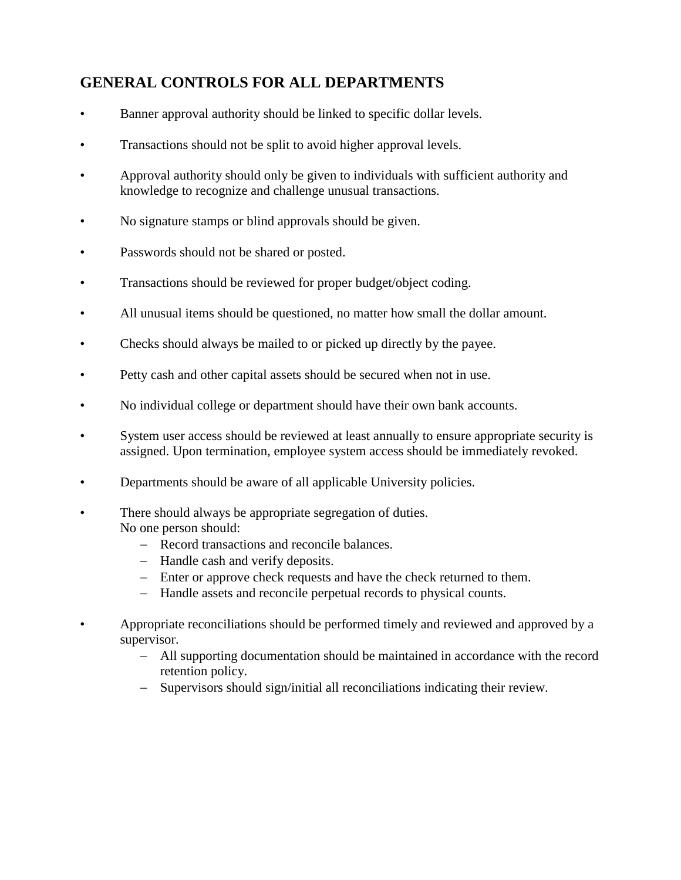## **GENERAL CONTROLS FOR ALL DEPARTMENTS**

- Banner approval authority should be linked to specific dollar levels.
- Transactions should not be split to avoid higher approval levels.
- Approval authority should only be given to individuals with sufficient authority and knowledge to recognize and challenge unusual transactions.
- No signature stamps or blind approvals should be given.
- Passwords should not be shared or posted.
- Transactions should be reviewed for proper budget/object coding.
- All unusual items should be questioned, no matter how small the dollar amount.
- Checks should always be mailed to or picked up directly by the payee.
- Petty cash and other capital assets should be secured when not in use.
- No individual college or department should have their own bank accounts.
- System user access should be reviewed at least annually to ensure appropriate security is assigned. Upon termination, employee system access should be immediately revoked.
- Departments should be aware of all applicable University policies.
- There should always be appropriate segregation of duties. No one person should:
	- Record transactions and reconcile balances.
	- Handle cash and verify deposits.
	- Enter or approve check requests and have the check returned to them.
	- Handle assets and reconcile perpetual records to physical counts.
- Appropriate reconciliations should be performed timely and reviewed and approved by a supervisor.
	- All supporting documentation should be maintained in accordance with the record retention policy.
	- Supervisors should sign/initial all reconciliations indicating their review.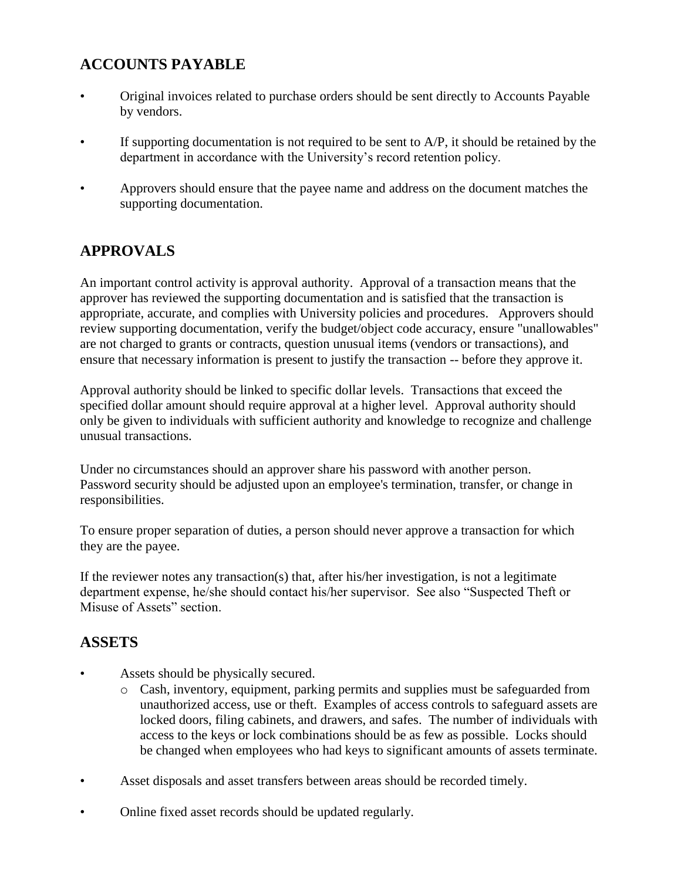## **ACCOUNTS PAYABLE**

- Original invoices related to purchase orders should be sent directly to Accounts Payable by vendors.
- If supporting documentation is not required to be sent to  $A/P$ , it should be retained by the department in accordance with the University's record retention policy.
- Approvers should ensure that the payee name and address on the document matches the supporting documentation.

## **APPROVALS**

An important control activity is approval authority. Approval of a transaction means that the approver has reviewed the supporting documentation and is satisfied that the transaction is appropriate, accurate, and complies with University policies and procedures. Approvers should review supporting documentation, verify the budget/object code accuracy, ensure "unallowables" are not charged to grants or contracts, question unusual items (vendors or transactions), and ensure that necessary information is present to justify the transaction -- before they approve it.

Approval authority should be linked to specific dollar levels. Transactions that exceed the specified dollar amount should require approval at a higher level. Approval authority should only be given to individuals with sufficient authority and knowledge to recognize and challenge unusual transactions.

Under no circumstances should an approver share his password with another person. Password security should be adjusted upon an employee's termination, transfer, or change in responsibilities.

To ensure proper separation of duties, a person should never approve a transaction for which they are the payee.

If the reviewer notes any transaction(s) that, after his/her investigation, is not a legitimate department expense, he/she should contact his/her supervisor. See also "Suspected Theft or Misuse of Assets" section.

#### **ASSETS**

- Assets should be physically secured.
	- o Cash, inventory, equipment, parking permits and supplies must be safeguarded from unauthorized access, use or theft. Examples of access controls to safeguard assets are locked doors, filing cabinets, and drawers, and safes. The number of individuals with access to the keys or lock combinations should be as few as possible. Locks should be changed when employees who had keys to significant amounts of assets terminate.
- Asset disposals and asset transfers between areas should be recorded timely.
- Online fixed asset records should be updated regularly.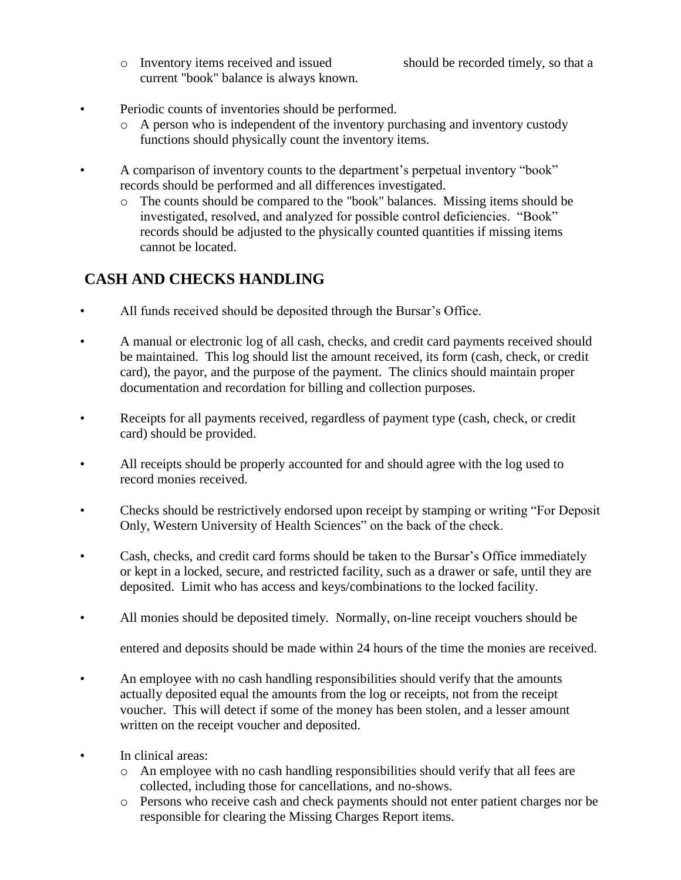o Inventory items received and issued should be recorded timely, so that a current "book" balance is always known.

- Periodic counts of inventories should be performed.
	- o A person who is independent of the inventory purchasing and inventory custody functions should physically count the inventory items.
- A comparison of inventory counts to the department's perpetual inventory "book" records should be performed and all differences investigated.
	- o The counts should be compared to the "book" balances. Missing items should be investigated, resolved, and analyzed for possible control deficiencies. "Book" records should be adjusted to the physically counted quantities if missing items cannot be located.

# **CASH AND CHECKS HANDLING**

- All funds received should be deposited through the Bursar's Office.
- A manual or electronic log of all cash, checks, and credit card payments received should be maintained. This log should list the amount received, its form (cash, check, or credit card), the payor, and the purpose of the payment. The clinics should maintain proper documentation and recordation for billing and collection purposes.
- Receipts for all payments received, regardless of payment type (cash, check, or credit card) should be provided.
- All receipts should be properly accounted for and should agree with the log used to record monies received.
- Checks should be restrictively endorsed upon receipt by stamping or writing "For Deposit Only, Western University of Health Sciences" on the back of the check.
- Cash, checks, and credit card forms should be taken to the Bursar's Office immediately or kept in a locked, secure, and restricted facility, such as a drawer or safe, until they are deposited. Limit who has access and keys/combinations to the locked facility.
- All monies should be deposited timely. Normally, on-line receipt vouchers should be

entered and deposits should be made within 24 hours of the time the monies are received.

- An employee with no cash handling responsibilities should verify that the amounts actually deposited equal the amounts from the log or receipts, not from the receipt voucher. This will detect if some of the money has been stolen, and a lesser amount written on the receipt voucher and deposited.
- In clinical areas:
	- $\circ$  An employee with no cash handling responsibilities should verify that all fees are collected, including those for cancellations, and no-shows.
	- o Persons who receive cash and check payments should not enter patient charges nor be responsible for clearing the Missing Charges Report items.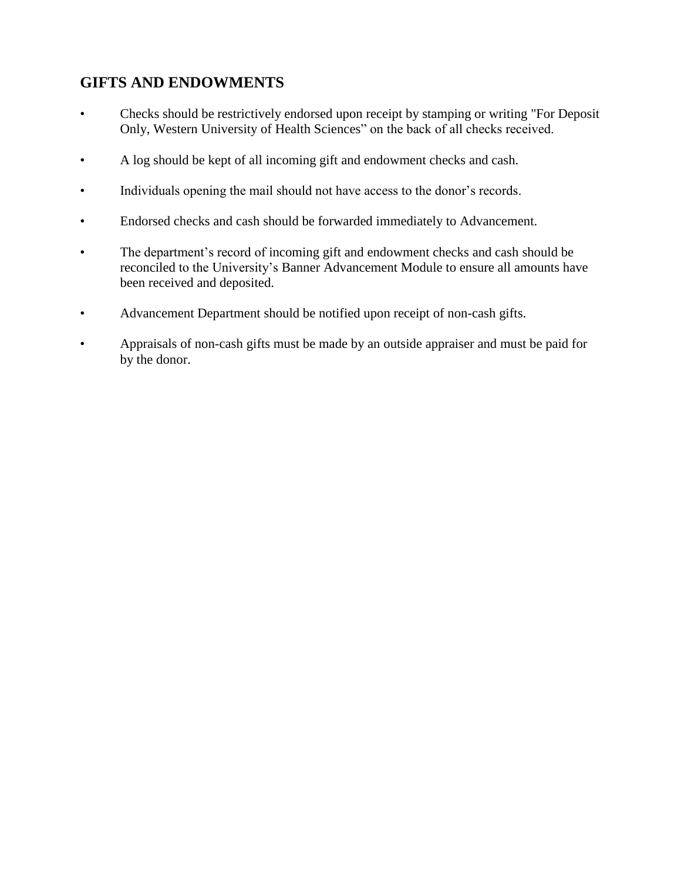#### **GIFTS AND ENDOWMENTS**

- Checks should be restrictively endorsed upon receipt by stamping or writing "For Deposit Only, Western University of Health Sciences" on the back of all checks received.
- A log should be kept of all incoming gift and endowment checks and cash.
- Individuals opening the mail should not have access to the donor's records.
- Endorsed checks and cash should be forwarded immediately to Advancement.
- The department's record of incoming gift and endowment checks and cash should be reconciled to the University's Banner Advancement Module to ensure all amounts have been received and deposited.
- Advancement Department should be notified upon receipt of non-cash gifts.
- Appraisals of non-cash gifts must be made by an outside appraiser and must be paid for by the donor.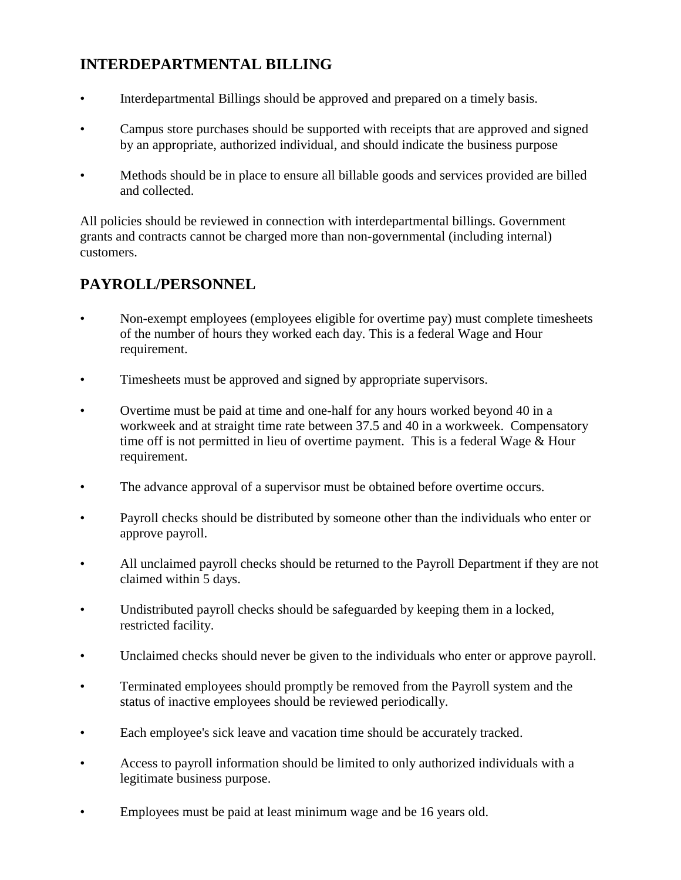## **INTERDEPARTMENTAL BILLING**

- Interdepartmental Billings should be approved and prepared on a timely basis.
- Campus store purchases should be supported with receipts that are approved and signed by an appropriate, authorized individual, and should indicate the business purpose
- Methods should be in place to ensure all billable goods and services provided are billed and collected.

All policies should be reviewed in connection with interdepartmental billings. Government grants and contracts cannot be charged more than non-governmental (including internal) customers.

### **PAYROLL/PERSONNEL**

- Non-exempt employees (employees eligible for overtime pay) must complete timesheets of the number of hours they worked each day. This is a federal Wage and Hour requirement.
- Timesheets must be approved and signed by appropriate supervisors.
- Overtime must be paid at time and one-half for any hours worked beyond 40 in a workweek and at straight time rate between 37.5 and 40 in a workweek. Compensatory time off is not permitted in lieu of overtime payment. This is a federal Wage & Hour requirement.
- The advance approval of a supervisor must be obtained before overtime occurs.
- Payroll checks should be distributed by someone other than the individuals who enter or approve payroll.
- All unclaimed payroll checks should be returned to the Payroll Department if they are not claimed within 5 days.
- Undistributed payroll checks should be safeguarded by keeping them in a locked, restricted facility.
- Unclaimed checks should never be given to the individuals who enter or approve payroll.
- Terminated employees should promptly be removed from the Payroll system and the status of inactive employees should be reviewed periodically.
- Each employee's sick leave and vacation time should be accurately tracked.
- Access to payroll information should be limited to only authorized individuals with a legitimate business purpose.
- Employees must be paid at least minimum wage and be 16 years old.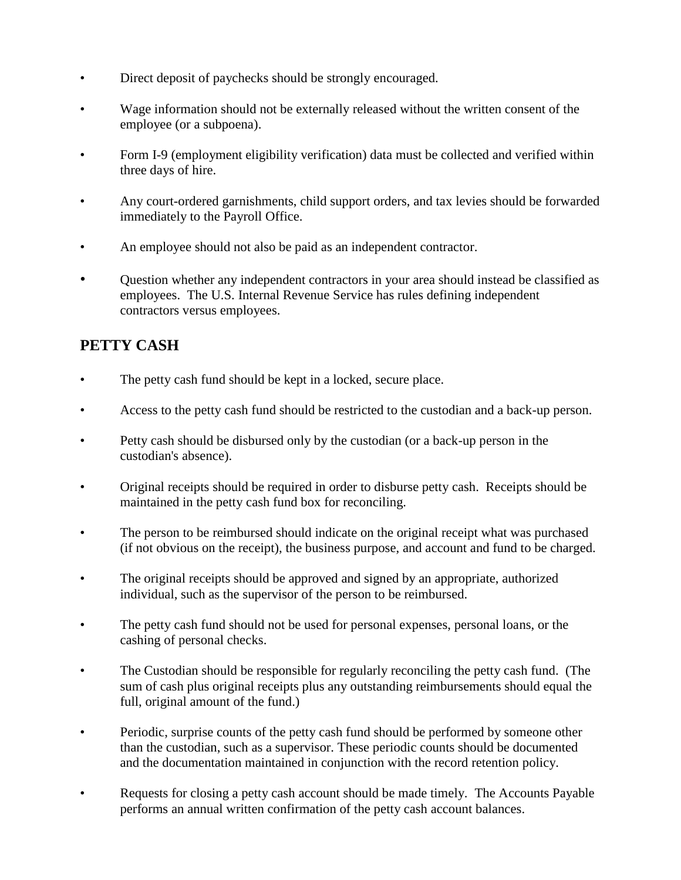- Direct deposit of paychecks should be strongly encouraged.
- Wage information should not be externally released without the written consent of the employee (or a subpoena).
- Form I-9 (employment eligibility verification) data must be collected and verified within three days of hire.
- Any court-ordered garnishments, child support orders, and tax levies should be forwarded immediately to the Payroll Office.
- An employee should not also be paid as an independent contractor.
- Question whether any independent contractors in your area should instead be classified as employees. The U.S. Internal Revenue Service has rules defining independent contractors versus employees.

## **PETTY CASH**

- The petty cash fund should be kept in a locked, secure place.
- Access to the petty cash fund should be restricted to the custodian and a back-up person.
- Petty cash should be disbursed only by the custodian (or a back-up person in the custodian's absence).
- Original receipts should be required in order to disburse petty cash. Receipts should be maintained in the petty cash fund box for reconciling.
- The person to be reimbursed should indicate on the original receipt what was purchased (if not obvious on the receipt), the business purpose, and account and fund to be charged.
- The original receipts should be approved and signed by an appropriate, authorized individual, such as the supervisor of the person to be reimbursed.
- The petty cash fund should not be used for personal expenses, personal loans, or the cashing of personal checks.
- The Custodian should be responsible for regularly reconciling the petty cash fund. (The sum of cash plus original receipts plus any outstanding reimbursements should equal the full, original amount of the fund.)
- Periodic, surprise counts of the petty cash fund should be performed by someone other than the custodian, such as a supervisor. These periodic counts should be documented and the documentation maintained in conjunction with the record retention policy.
- Requests for closing a petty cash account should be made timely. The Accounts Payable performs an annual written confirmation of the petty cash account balances.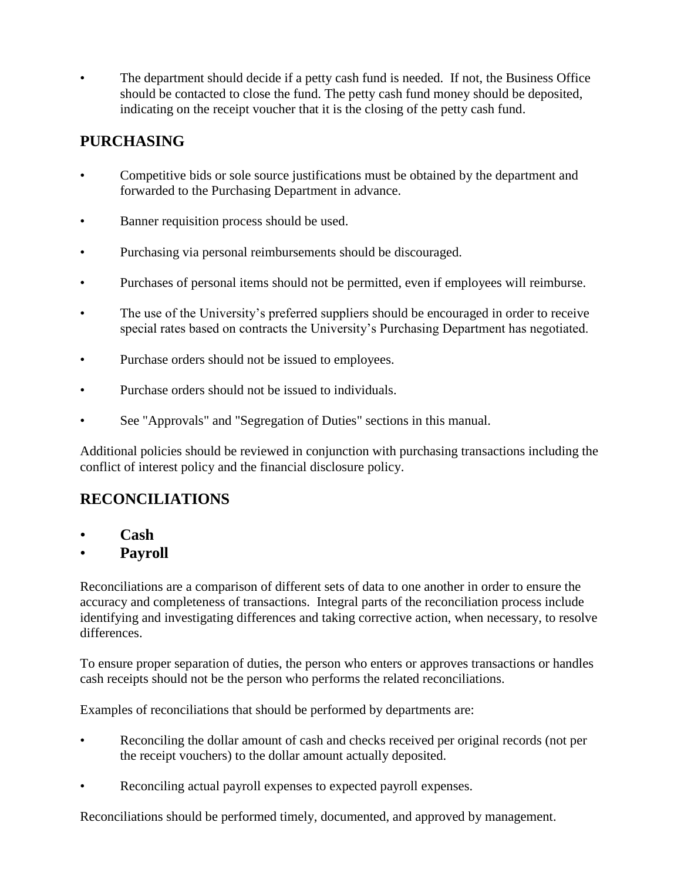The department should decide if a petty cash fund is needed. If not, the Business Office should be contacted to close the fund. The petty cash fund money should be deposited, indicating on the receipt voucher that it is the closing of the petty cash fund.

# **PURCHASING**

- Competitive bids or sole source justifications must be obtained by the department and forwarded to the Purchasing Department in advance.
- Banner requisition process should be used.
- Purchasing via personal reimbursements should be discouraged.
- Purchases of personal items should not be permitted, even if employees will reimburse.
- The use of the University's preferred suppliers should be encouraged in order to receive special rates based on contracts the University's Purchasing Department has negotiated.
- Purchase orders should not be issued to employees.
- Purchase orders should not be issued to individuals.
- See "Approvals" and "Segregation of Duties" sections in this manual.

Additional policies should be reviewed in conjunction with purchasing transactions including the conflict of interest policy and the financial disclosure policy.

### **RECONCILIATIONS**

- **Cash**
- **Payroll**

Reconciliations are a comparison of different sets of data to one another in order to ensure the accuracy and completeness of transactions. Integral parts of the reconciliation process include identifying and investigating differences and taking corrective action, when necessary, to resolve differences.

To ensure proper separation of duties, the person who enters or approves transactions or handles cash receipts should not be the person who performs the related reconciliations.

Examples of reconciliations that should be performed by departments are:

- Reconciling the dollar amount of cash and checks received per original records (not per the receipt vouchers) to the dollar amount actually deposited.
- Reconciling actual payroll expenses to expected payroll expenses.

Reconciliations should be performed timely, documented, and approved by management.